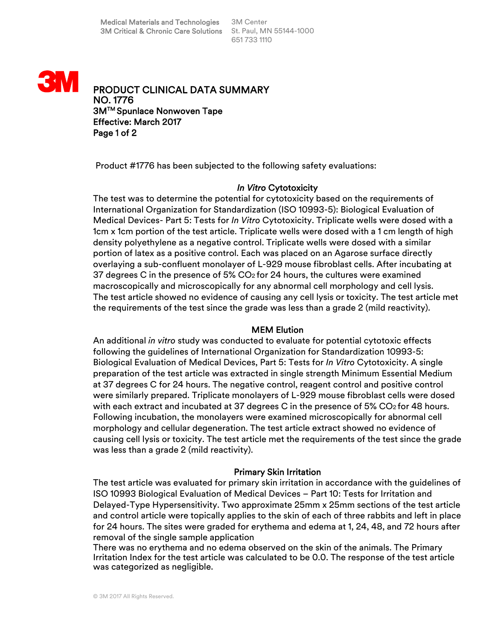

PRODUCT CLINICAL DATA SUMMARY NO. 1776 3MTM Spunlace Nonwoven Tape Effective: March 2017 Page 1 of 2

Product #1776 has been subjected to the following safety evaluations:

### *In Vitro* Cytotoxicity

The test was to determine the potential for cytotoxicity based on the requirements of International Organization for Standardization (ISO 10993-5): Biological Evaluation of Medical Devices- Part 5: Tests for *In Vitro* Cytotoxicity. Triplicate wells were dosed with a 1cm x 1cm portion of the test article. Triplicate wells were dosed with a 1 cm length of high density polyethylene as a negative control. Triplicate wells were dosed with a similar portion of latex as a positive control. Each was placed on an Agarose surface directly overlaying a sub-confluent monolayer of L-929 mouse fibroblast cells. After incubating at 37 degrees C in the presence of 5%  $CO<sub>2</sub>$  for 24 hours, the cultures were examined macroscopically and microscopically for any abnormal cell morphology and cell lysis. The test article showed no evidence of causing any cell lysis or toxicity. The test article met the requirements of the test since the grade was less than a grade 2 (mild reactivity).

# MEM Elution

An additional *in vitro* study was conducted to evaluate for potential cytotoxic effects following the guidelines of International Organization for Standardization 10993-5: Biological Evaluation of Medical Devices, Part 5: Tests for *In Vitro* Cytotoxicity. A single preparation of the test article was extracted in single strength Minimum Essential Medium at 37 degrees C for 24 hours. The negative control, reagent control and positive control were similarly prepared. Triplicate monolayers of L-929 mouse fibroblast cells were dosed with each extract and incubated at 37 degrees C in the presence of 5% CO2 for 48 hours. Following incubation, the monolayers were examined microscopically for abnormal cell morphology and cellular degeneration. The test article extract showed no evidence of causing cell lysis or toxicity. The test article met the requirements of the test since the grade was less than a grade 2 (mild reactivity).

#### Primary Skin Irritation

The test article was evaluated for primary skin irritation in accordance with the guidelines of ISO 10993 Biological Evaluation of Medical Devices – Part 10: Tests for Irritation and Delayed-Type Hypersensitivity. Two approximate 25mm x 25mm sections of the test article and control article were topically applies to the skin of each of three rabbits and left in place for 24 hours. The sites were graded for erythema and edema at 1, 24, 48, and 72 hours after removal of the single sample application

There was no erythema and no edema observed on the skin of the animals. The Primary Irritation Index for the test article was calculated to be 0.0. The response of the test article was categorized as negligible.